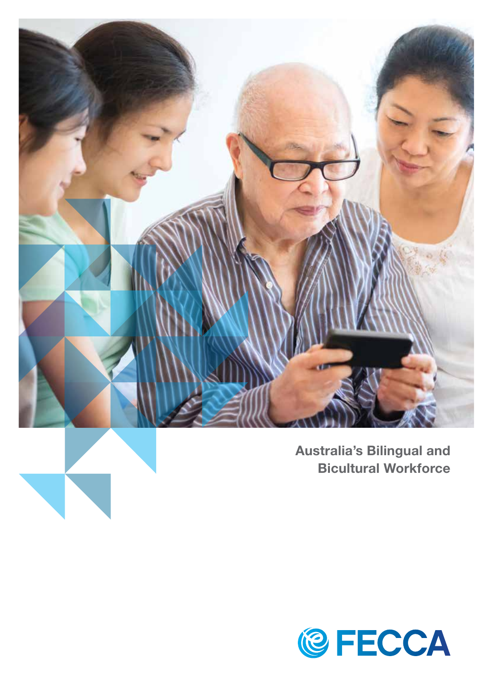

**Bicultural Workforce**

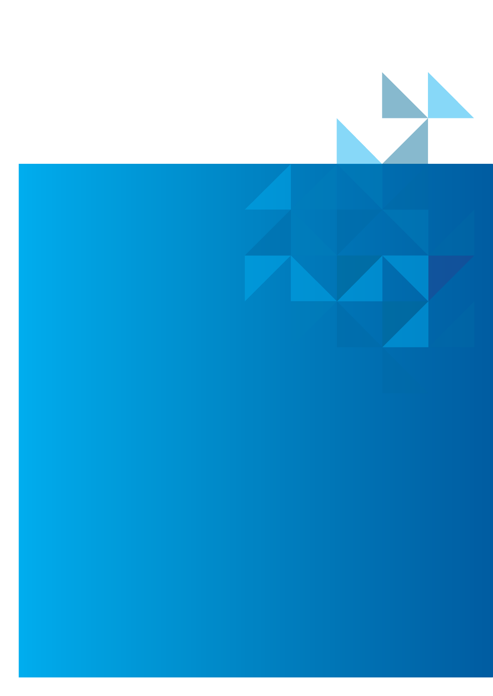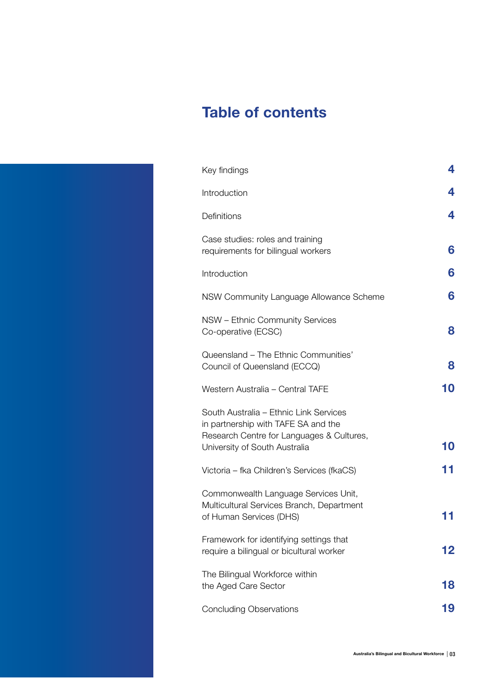# **Table of contents**

| Key findings                                                                                                                                                | 4  |
|-------------------------------------------------------------------------------------------------------------------------------------------------------------|----|
| Introduction                                                                                                                                                | 4  |
| Definitions                                                                                                                                                 | 4  |
| Case studies: roles and training<br>requirements for bilingual workers                                                                                      | 6  |
| Introduction                                                                                                                                                | 6  |
| NSW Community Language Allowance Scheme                                                                                                                     | 6  |
| NSW - Ethnic Community Services<br>Co-operative (ECSC)                                                                                                      | 8  |
| Queensland - The Ethnic Communities'<br>Council of Queensland (ECCQ)                                                                                        | 8  |
| Western Australia - Central TAFE                                                                                                                            | 10 |
| South Australia - Ethnic Link Services<br>in partnership with TAFE SA and the<br>Research Centre for Languages & Cultures,<br>University of South Australia | 10 |
| Victoria – fka Children's Services (fkaCS)                                                                                                                  | 11 |
| Commonwealth Language Services Unit,<br>Multicultural Services Branch, Department<br>of Human Services (DHS)                                                |    |
| Framework for identifying settings that<br>require a bilingual or bicultural worker                                                                         | 12 |
| The Bilingual Workforce within<br>the Aged Care Sector                                                                                                      | 18 |
| <b>Concluding Observations</b>                                                                                                                              | 19 |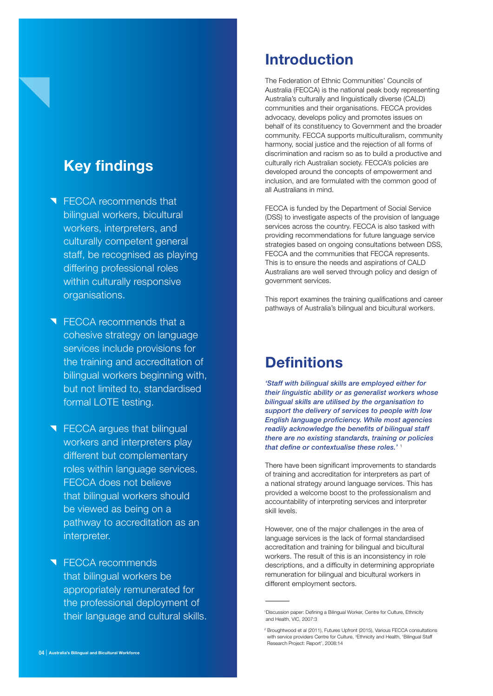### **Key findings**

- **T** FECCA recommends that bilingual workers, bicultural workers, interpreters, and culturally competent general staff, be recognised as playing differing professional roles within culturally responsive organisations.
- **T** FECCA recommends that a cohesive strategy on language services include provisions for the training and accreditation of bilingual workers beginning with, but not limited to, standardised formal LOTE testing.
- **T** FECCA argues that bilingual workers and interpreters play different but complementary roles within language services. FECCA does not believe that bilingual workers should be viewed as being on a pathway to accreditation as an interpreter.
- **T** FECCA recommends that bilingual workers be appropriately remunerated for the professional deployment of their language and cultural skills.

### **Introduction**

The Federation of Ethnic Communities' Councils of Australia (FECCA) is the national peak body representing Australia's culturally and linguistically diverse (CALD) communities and their organisations. FECCA provides advocacy, develops policy and promotes issues on behalf of its constituency to Government and the broader community. FECCA supports multiculturalism, community harmony, social justice and the rejection of all forms of discrimination and racism so as to build a productive and culturally rich Australian society. FECCA's policies are developed around the concepts of empowerment and inclusion, and are formulated with the common good of all Australians in mind.

FECCA is funded by the Department of Social Service (DSS) to investigate aspects of the provision of language services across the country. FECCA is also tasked with providing recommendations for future language service strategies based on ongoing consultations between DSS, FECCA and the communities that FECCA represents. This is to ensure the needs and aspirations of CALD Australians are well served through policy and design of government services.

This report examines the training qualifications and career pathways of Australia's bilingual and bicultural workers.

### **Definitions**

*'Staff with bilingual skills are employed either for their linguistic ability or as generalist workers whose bilingual skills are utilised by the organisation to support the delivery of services to people with low English language proficiency. While most agencies readily acknowledge the benefits of bilingual staff there are no existing standards, training or policies that define or contextualise these roles.'* <sup>1</sup>

There have been significant improvements to standards of training and accreditation for interpreters as part of a national strategy around language services. This has provided a welcome boost to the professionalism and accountability of interpreting services and interpreter skill levels.

However, one of the major challenges in the area of language services is the lack of formal standardised accreditation and training for bilingual and bicultural workers. The result of this is an inconsistency in role descriptions, and a difficulty in determining appropriate remuneration for bilingual and bicultural workers in different employment sectors.

<sup>1</sup> Discussion paper: Defining a Bilingual Worker, Centre for Culture, Ethnicity and Health, VIC, 2007:3

<sup>2</sup> Broughtwood et al (2011), Futures Upfront (2015), Various FECCA consultations with service providers Centre for Culture, <sup>3</sup>Ethnicity and Health, 'Bilingual Staff<br>Research Project: Report', 2008:14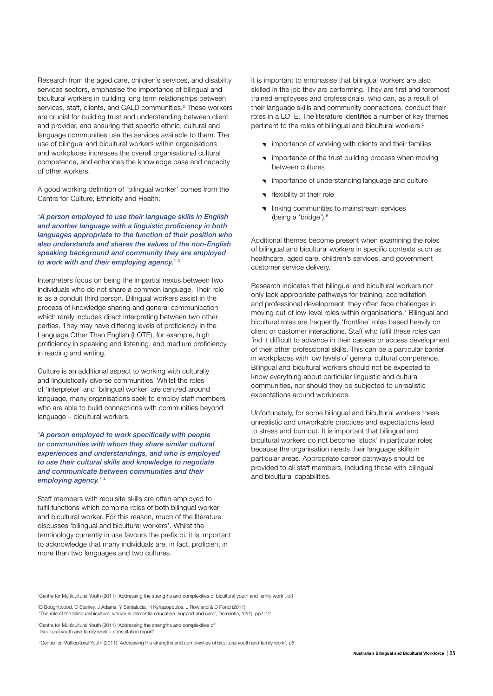Research from the aged care, children's services, and disability services sectors, emphasise the importance of bilingual and bicultural workers in building long term relationships between services, staff, clients, and CALD communities.<sup>2</sup> These workers are crucial for building trust and understanding between client and provider, and ensuring that specific ethnic, cultural and language communities use the services available to them. The use of bilingual and bicultural workers within organisations and workplaces increases the overall organisational cultural competence, and enhances the knowledge base and capacity of other workers.

A good working definition of 'bilingual worker' comes from the Centre for Culture, Ethnicity and Health:

*'A person employed to use their language skills in English and another language with a linguistic proficiency in both languages appropriate to the function of their position who also understands and shares the values of the non-English speaking background and community they are employed to work with and their employing agency.'* <sup>3</sup>

Interpreters focus on being the impartial nexus between two individuals who do not share a common language. Their role is as a conduit third person. Bilingual workers assist in the process of knowledge sharing and general communication which rarely includes direct interpreting between two other parties. They may have differing levels of proficiency in the Language Other Than English (LOTE), for example, high proficiency in speaking and listening, and medium proficiency in reading and writing.

Culture is an additional aspect to working with culturally and linguistically diverse communities. Whilst the roles of 'interpreter' and 'bilingual worker' are centred around language, many organisations seek to employ staff members who are able to build connections with communities beyond language – bicultural workers.

*'A person employed to work specifically with people or communities with whom they share similar cultural experiences and understandings, and who is employed to use their cultural skills and knowledge to negotiate and communicate between communities and their employing agency.'* <sup>4</sup>

Staff members with requisite skills are often employed to fulfil functions which combine roles of both bilingual worker and bicultural worker. For this reason, much of the literature discusses 'bilingual and bicultural workers'. Whilst the terminology currently in use favours the prefix bi, it is important to acknowledge that many individuals are, in fact, proficient in more than two languages and two cultures.

It is important to emphasise that bilingual workers are also skilled in the job they are performing. They are first and foremost trained employees and professionals, who can, as a result of their language skills and community connections, conduct their roles in a LOTE. The literature identifies a number of key themes pertinent to the roles of bilingual and bicultural workers:<sup>5</sup>

- **v** importance of working with clients and their families
- importance of the trust building process when moving between cultures
- **v** importance of understanding language and culture
- flexibility of their role
- **v** linking communities to mainstream services (being a 'bridge').6

Additional themes become present when examining the roles of bilingual and bicultural workers in specific contexts such as healthcare, aged care, children's services, and government customer service delivery.

Research indicates that bilingual and bicultural workers not only lack appropriate pathways for training, accreditation and professional development, they often face challenges in moving out of low-level roles within organisations.<sup>7</sup> Bilingual and bicultural roles are frequently 'frontline' roles based heavily on client or customer interactions. Staff who fulfil these roles can find it difficult to advance in their careers or access development of their other professional skills. This can be a particular barrier in workplaces with low levels of general cultural competence. Bilingual and bicultural workers should not be expected to know everything about particular linguistic and cultural communities, nor should they be subjected to unrealistic expectations around workloads.

Unfortunately, for some bilingual and bicultural workers these unrealistic and unworkable practices and expectations lead to stress and burnout. It is important that bilingual and bicultural workers do not become 'stuck' in particular roles because the organisation needs their language skills in particular areas. Appropriate career pathways should be provided to all staff members, including those with bilingual and bicultural capabilities.

<sup>4</sup> Centre for Multicultural Youth (2011) 'Addressing the strengths and complexities of bicultural youth and family work', p3

<sup>5</sup> D Boughtwood, C Stanley, J Adams, Y Santalucia, H Kyriazopoulos, J Rowland & D Pond (2011) 'The role of the bilingual/bicultural worker in dementia education, support and care', Dementia, 12(1), pp7-12

<sup>6</sup> Centre for Multicultural Youth (2011) 'Addressing the strengths and complexities of bicultural youth and family work – consultation report'

<sup>7</sup> Centre for Multicultural Youth (2011) 'Addressing the strengths and complexities of bicultural youth and family work', p5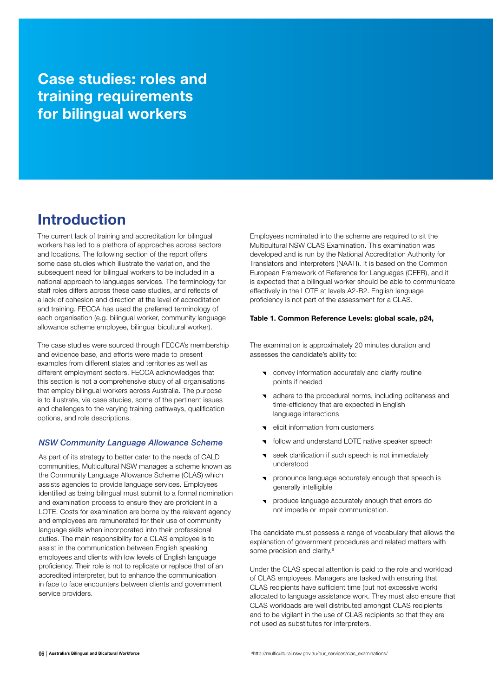**Case studies: roles and training requirements for bilingual workers**

### **Introduction**

The current lack of training and accreditation for bilingual workers has led to a plethora of approaches across sectors and locations. The following section of the report offers some case studies which illustrate the variation, and the subsequent need for bilingual workers to be included in a national approach to languages services. The terminology for staff roles differs across these case studies, and reflects of a lack of cohesion and direction at the level of accreditation and training. FECCA has used the preferred terminology of each organisation (e.g. bilingual worker, community language allowance scheme employee, bilingual bicultural worker).

The case studies were sourced through FECCA's membership and evidence base, and efforts were made to present examples from different states and territories as well as different employment sectors. FECCA acknowledges that this section is not a comprehensive study of all organisations that employ bilingual workers across Australia. The purpose is to illustrate, via case studies, some of the pertinent issues and challenges to the varying training pathways, qualification options, and role descriptions.

#### *NSW Community Language Allowance Scheme*

As part of its strategy to better cater to the needs of CALD communities, Multicultural NSW manages a scheme known as the Community Language Allowance Scheme (CLAS) which assists agencies to provide language services. Employees identified as being bilingual must submit to a formal nomination and examination process to ensure they are proficient in a LOTE. Costs for examination are borne by the relevant agency and employees are remunerated for their use of community language skills when incorporated into their professional duties. The main responsibility for a CLAS employee is to assist in the communication between English speaking employees and clients with low levels of English language proficiency. Their role is not to replicate or replace that of an accredited interpreter, but to enhance the communication in face to face encounters between clients and government service providers.

Employees nominated into the scheme are required to sit the Multicultural NSW CLAS Examination. This examination was developed and is run by the National Accreditation Authority for Translators and Interpreters (NAATI). It is based on the Common European Framework of Reference for Languages (CEFR), and it is expected that a bilingual worker should be able to communicate effectively in the LOTE at levels A2-B2. English language proficiency is not part of the assessment for a CLAS.

#### **Table 1. Common Reference Levels: global scale, p24,**

The examination is approximately 20 minutes duration and assesses the candidate's ability to:

- **v** convey information accurately and clarify routine points if needed
- adhere to the procedural norms, including politeness and time-efficiency that are expected in English language interactions
- elicit information from customers
- **v** follow and understand LOTE native speaker speech
- seek clarification if such speech is not immediately understood
- **v** pronounce language accurately enough that speech is generally intelligible
- produce language accurately enough that errors do not impede or impair communication.

The candidate must possess a range of vocabulary that allows the explanation of government procedures and related matters with some precision and clarity.<sup>8</sup>

Under the CLAS special attention is paid to the role and workload of CLAS employees. Managers are tasked with ensuring that CLAS recipients have sufficient time (but not excessive work) allocated to language assistance work. They must also ensure that CLAS workloads are well distributed amongst CLAS recipients and to be vigilant in the use of CLAS recipients so that they are not used as substitutes for interpreters.

http://multicultural.nsw.gov.au/our\_services/clas\_examinations/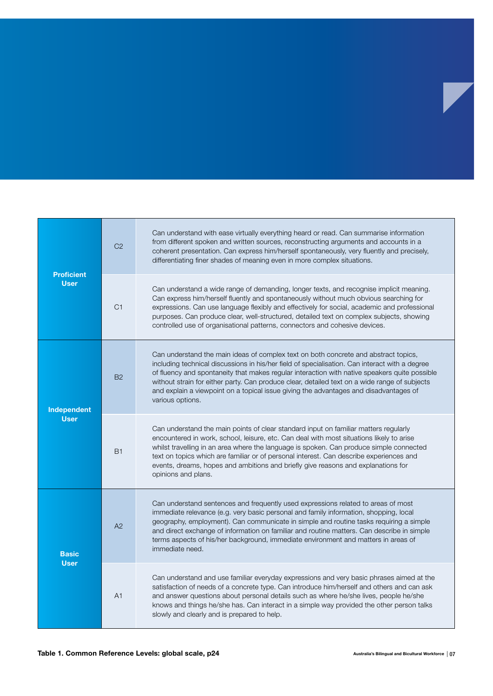| <b>Proficient</b><br><b>User</b> | C <sub>2</sub> | Can understand with ease virtually everything heard or read. Can summarise information<br>from different spoken and written sources, reconstructing arguments and accounts in a<br>coherent presentation. Can express him/herself spontaneously, very fluently and precisely,<br>differentiating finer shades of meaning even in more complex situations.                                                                                                                                            |
|----------------------------------|----------------|------------------------------------------------------------------------------------------------------------------------------------------------------------------------------------------------------------------------------------------------------------------------------------------------------------------------------------------------------------------------------------------------------------------------------------------------------------------------------------------------------|
|                                  | C <sub>1</sub> | Can understand a wide range of demanding, longer texts, and recognise implicit meaning.<br>Can express him/herself fluently and spontaneously without much obvious searching for<br>expressions. Can use language flexibly and effectively for social, academic and professional<br>purposes. Can produce clear, well-structured, detailed text on complex subjects, showing<br>controlled use of organisational patterns, connectors and cohesive devices.                                          |
| Independent<br><b>User</b>       | <b>B2</b>      | Can understand the main ideas of complex text on both concrete and abstract topics,<br>including technical discussions in his/her field of specialisation. Can interact with a degree<br>of fluency and spontaneity that makes regular interaction with native speakers quite possible<br>without strain for either party. Can produce clear, detailed text on a wide range of subjects<br>and explain a viewpoint on a topical issue giving the advantages and disadvantages of<br>various options. |
|                                  | <b>B1</b>      | Can understand the main points of clear standard input on familiar matters regularly<br>encountered in work, school, leisure, etc. Can deal with most situations likely to arise<br>whilst travelling in an area where the language is spoken. Can produce simple connected<br>text on topics which are familiar or of personal interest. Can describe experiences and<br>events, dreams, hopes and ambitions and briefly give reasons and explanations for<br>opinions and plans.                   |
| <b>Basic</b><br><b>User</b>      | A2             | Can understand sentences and frequently used expressions related to areas of most<br>immediate relevance (e.g. very basic personal and family information, shopping, local<br>geography, employment). Can communicate in simple and routine tasks requiring a simple<br>and direct exchange of information on familiar and routine matters. Can describe in simple<br>terms aspects of his/her background, immediate environment and matters in areas of<br>immediate need.                          |
|                                  | A <sub>1</sub> | Can understand and use familiar everyday expressions and very basic phrases aimed at the<br>satisfaction of needs of a concrete type. Can introduce him/herself and others and can ask<br>and answer questions about personal details such as where he/she lives, people he/she<br>knows and things he/she has. Can interact in a simple way provided the other person talks<br>slowly and clearly and is prepared to help.                                                                          |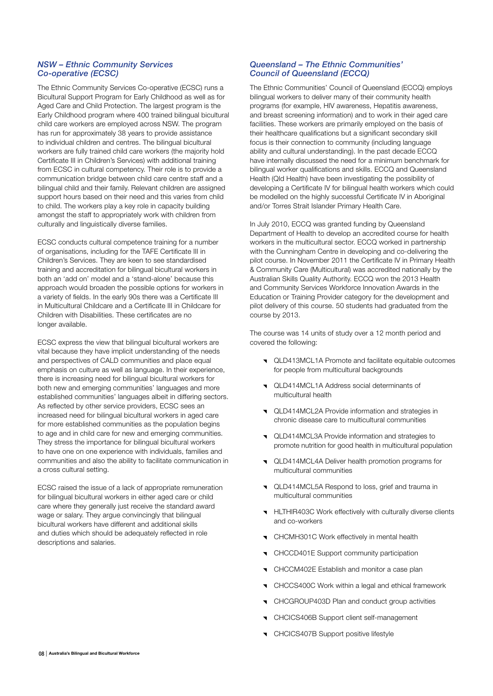#### *NSW – Ethnic Community Services Co-operative (ECSC)*

The Ethnic Community Services Co-operative (ECSC) runs a Bicultural Support Program for Early Childhood as well as for Aged Care and Child Protection. The largest program is the Early Childhood program where 400 trained bilingual bicultural child care workers are employed across NSW. The program has run for approximately 38 years to provide assistance to individual children and centres. The bilingual bicultural workers are fully trained child care workers (the majority hold Certificate III in Children's Services) with additional training from ECSC in cultural competency. Their role is to provide a communication bridge between child care centre staff and a bilingual child and their family. Relevant children are assigned support hours based on their need and this varies from child to child. The workers play a key role in capacity building amongst the staff to appropriately work with children from culturally and linguistically diverse families.

ECSC conducts cultural competence training for a number of organisations, including for the TAFE Certificate III in Children's Services. They are keen to see standardised training and accreditation for bilingual bicultural workers in both an 'add on' model and a 'stand-alone' because this approach would broaden the possible options for workers in a variety of fields. In the early 90s there was a Certificate III in Multicultural Childcare and a Certificate III in Childcare for Children with Disabilities. These certificates are no longer available.

ECSC express the view that bilingual bicultural workers are vital because they have implicit understanding of the needs and perspectives of CALD communities and place equal emphasis on culture as well as language. In their experience, there is increasing need for bilingual bicultural workers for both new and emerging communities' languages and more established communities' languages albeit in differing sectors. As reflected by other service providers, ECSC sees an increased need for bilingual bicultural workers in aged care for more established communities as the population begins to age and in child care for new and emerging communities. They stress the importance for bilingual bicultural workers to have one on one experience with individuals, families and communities and also the ability to facilitate communication in a cross cultural setting.

ECSC raised the issue of a lack of appropriate remuneration for bilingual bicultural workers in either aged care or child care where they generally just receive the standard award wage or salary. They argue convincingly that bilingual bicultural workers have different and additional skills and duties which should be adequately reflected in role descriptions and salaries.

#### *Queensland – The Ethnic Communities' Council of Queensland (ECCQ)*

The Ethnic Communities' Council of Queensland (ECCQ) employs bilingual workers to deliver many of their community health programs (for example, HIV awareness, Hepatitis awareness, and breast screening information) and to work in their aged care facilities. These workers are primarily employed on the basis of their healthcare qualifications but a significant secondary skill focus is their connection to community (including language ability and cultural understanding). In the past decade ECCQ have internally discussed the need for a minimum benchmark for bilingual worker qualifications and skills. ECCQ and Queensland Health (Qld Health) have been investigating the possibility of developing a Certificate IV for bilingual health workers which could be modelled on the highly successful Certificate IV in Aboriginal and/or Torres Strait Islander Primary Health Care.

In July 2010, ECCQ was granted funding by Queensland Department of Health to develop an accredited course for health workers in the multicultural sector. ECCQ worked in partnership with the Cunningham Centre in developing and co-delivering the pilot course. In November 2011 the Certificate IV in Primary Health & Community Care (Multicultural) was accredited nationally by the Australian Skills Quality Authority. ECCQ won the 2013 Health and Community Services Workforce Innovation Awards in the Education or Training Provider category for the development and pilot delivery of this course. 50 students had graduated from the course by 2013.

The course was 14 units of study over a 12 month period and covered the following:

- QLD413MCL1A Promote and facilitate equitable outcomes for people from multicultural backgrounds
- QLD414MCL1A Address social determinants of multicultural health
- QLD414MCL2A Provide information and strategies in chronic disease care to multicultural communities
- QLD414MCL3A Provide information and strategies to promote nutrition for good health in multicultural population
- QLD414MCL4A Deliver health promotion programs for multicultural communities
- QLD414MCL5A Respond to loss, grief and trauma in multicultural communities
- **HLTHIR403C Work effectively with culturally diverse clients** and co-workers
- CHCMH301C Work effectively in mental health
- CHCCD401E Support community participation
- **T** CHCCM402E Establish and monitor a case plan
- CHCCS400C Work within a legal and ethical framework
- CHCGROUP403D Plan and conduct group activities
- CHCICS406B Support client self-management
- **T** CHCICS407B Support positive lifestyle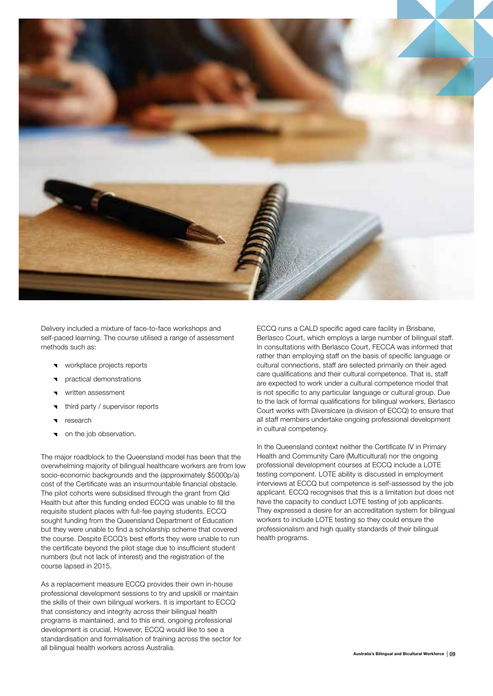

Delivery included a mixture of face-to-face workshops and self-paced learning. The course utilised a range of assessment methods such as:

- workplace projects reports
- practical demonstrations
- written assessment
- third party / supervisor reports
- research
- **v** on the job observation.

The major roadblock to the Queensland model has been that the overwhelming majority of bilingual healthcare workers are from low socio-economic backgrounds and the (approximately \$5000p/a) cost of the Certificate was an insurmountable financial obstacle. The pilot cohorts were subsidised through the grant from Qld Health but after this funding ended ECCQ was unable to fill the requisite student places with full-fee paying students. ECCQ sought funding from the Queensland Department of Education but they were unable to find a scholarship scheme that covered the course. Despite ECCQ's best efforts they were unable to run the certificate beyond the pilot stage due to insufficient student numbers (but not lack of interest) and the registration of the course lapsed in 2015.

As a replacement measure ECCQ provides their own in-house professional development sessions to try and upskill or maintain the skills of their own bilingual workers. It is important to ECCQ that consistency and integrity across their bilingual health programs is maintained, and to this end, ongoing professional development is crucial. However, ECCQ would like to see a standardisation and formalisation of training across the sector for all bilingual health workers across Australia.

ECCQ runs a CALD specific aged care facility in Brisbane, Berlasco Court, which employs a large number of bilingual staff. In consultations with Berlasco Court, FECCA was informed that rather than employing staff on the basis of specific language or cultural connections, staff are selected primarily on their aged care qualifications and their cultural competence. That is, staff are expected to work under a cultural competence model that is not specific to any particular language or cultural group. Due to the lack of formal qualifications for bilingual workers, Berlasco Court works with Diversicare (a division of ECCQ) to ensure that all staff members undertake ongoing professional development in cultural competency.

In the Queensland context neither the Certificate IV in Primary Health and Community Care (Multicultural) nor the ongoing professional development courses at ECCQ include a LOTE testing component. LOTE ability is discussed in employment interviews at ECCQ but competence is self-assessed by the job applicant. ECCQ recognises that this is a limitation but does not have the capacity to conduct LOTE testing of job applicants. They expressed a desire for an accreditation system for bilingual workers to include LOTE testing so they could ensure the professionalism and high quality standards of their bilingual health programs.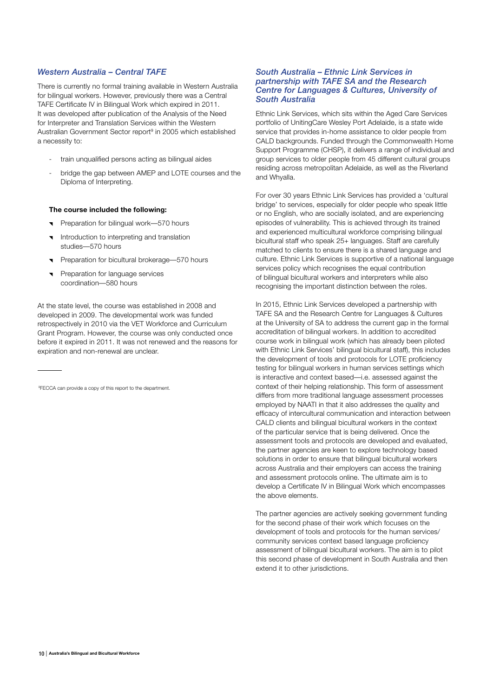### *Western Australia – Central TAFE*

There is currently no formal training available in Western Australia for bilingual workers. However, previously there was a Central TAFE Certificate IV in Bilingual Work which expired in 2011. It was developed after publication of the Analysis of the Need for Interpreter and Translation Services within the Western Australian Government Sector report<sup>9</sup> in 2005 which established a necessity to:

- train unqualified persons acting as bilingual aides
- bridge the gap between AMEP and LOTE courses and the Diploma of Interpreting.

#### **The course included the following:**

- Preparation for bilingual work-570 hours
- Introduction to interpreting and translation studies—570 hours
- Preparation for bicultural brokerage—570 hours
- Preparation for language services coordination—580 hours

At the state level, the course was established in 2008 and developed in 2009. The developmental work was funded retrospectively in 2010 via the VET Workforce and Curriculum Grant Program. However, the course was only conducted once before it expired in 2011. It was not renewed and the reasons for expiration and non-renewal are unclear.

#### *South Australia – Ethnic Link Services in partnership with TAFE SA and the Research Centre for Languages & Cultures, University of South Australia*

Ethnic Link Services, which sits within the Aged Care Services portfolio of UnitingCare Wesley Port Adelaide, is a state wide service that provides in-home assistance to older people from CALD backgrounds. Funded through the Commonwealth Home Support Programme (CHSP), it delivers a range of individual and group services to older people from 45 different cultural groups residing across metropolitan Adelaide, as well as the Riverland and Whyalla.

For over 30 years Ethnic Link Services has provided a 'cultural bridge' to services, especially for older people who speak little or no English, who are socially isolated, and are experiencing episodes of vulnerability. This is achieved through its trained and experienced multicultural workforce comprising bilingual bicultural staff who speak 25+ languages. Staff are carefully matched to clients to ensure there is a shared language and culture. Ethnic Link Services is supportive of a national language services policy which recognises the equal contribution of bilingual bicultural workers and interpreters while also recognising the important distinction between the roles.

In 2015, Ethnic Link Services developed a partnership with TAFE SA and the Research Centre for Languages & Cultures at the University of SA to address the current gap in the formal accreditation of bilingual workers. In addition to accredited course work in bilingual work (which has already been piloted with Ethnic Link Services' bilingual bicultural staff), this includes the development of tools and protocols for LOTE proficiency testing for bilingual workers in human services settings which is interactive and context based—i.e. assessed against the context of their helping relationship. This form of assessment differs from more traditional language assessment processes employed by NAATI in that it also addresses the quality and efficacy of intercultural communication and interaction between CALD clients and bilingual bicultural workers in the context of the particular service that is being delivered. Once the assessment tools and protocols are developed and evaluated, the partner agencies are keen to explore technology based solutions in order to ensure that bilingual bicultural workers across Australia and their employers can access the training and assessment protocols online. The ultimate aim is to develop a Certificate IV in Bilingual Work which encompasses the above elements.

The partner agencies are actively seeking government funding for the second phase of their work which focuses on the development of tools and protocols for the human services/ community services context based language proficiency assessment of bilingual bicultural workers. The aim is to pilot this second phase of development in South Australia and then extend it to other jurisdictions.

 <sup>9</sup>FECCA can provide a copy of this report to the department.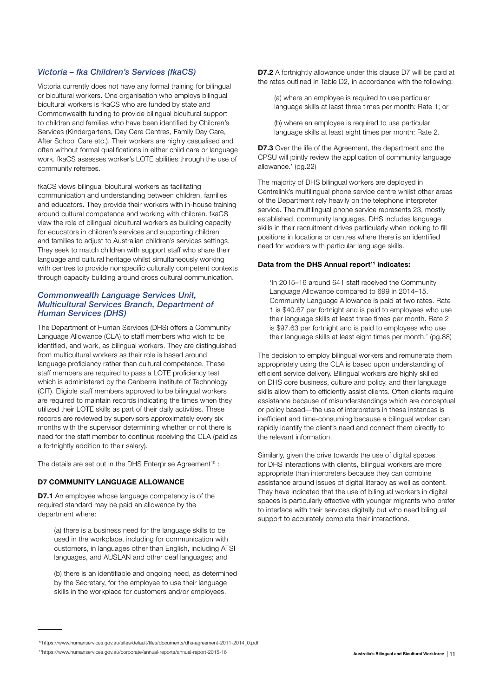#### *Victoria – fka Children's Services (fkaCS)*

Victoria currently does not have any formal training for bilingual or bicultural workers. One organisation who employs bilingual bicultural workers is fkaCS who are funded by state and Commonwealth funding to provide bilingual bicultural support to children and families who have been identified by Children's Services (Kindergartens, Day Care Centres, Family Day Care, After School Care etc.). Their workers are highly casualised and often without formal qualifications in either child care or language work. fkaCS assesses worker's LOTE abilities through the use of community referees.

fkaCS views bilingual bicultural workers as facilitating communication and understanding between children, families and educators. They provide their workers with in-house training around cultural competence and working with children. fkaCS view the role of bilingual bicultural workers as building capacity for educators in children's services and supporting children and families to adjust to Australian children's services settings. They seek to match children with support staff who share their language and cultural heritage whilst simultaneously working with centres to provide nonspecific culturally competent contexts through capacity building around cross cultural communication.

#### *Commonwealth Language Services Unit, Multicultural Services Branch, Department of Human Services (DHS)*

The Department of Human Services (DHS) offers a Community Language Allowance (CLA) to staff members who wish to be identified, and work, as bilingual workers. They are distinguished from multicultural workers as their role is based around language proficiency rather than cultural competence. These staff members are required to pass a LOTE proficiency test which is administered by the Canberra Institute of Technology (CIT). Eligible staff members approved to be bilingual workers are required to maintain records indicating the times when they utilized their LOTE skills as part of their daily activities. These records are reviewed by supervisors approximately every six months with the supervisor determining whether or not there is need for the staff member to continue receiving the CLA (paid as a fortnightly addition to their salary).

The details are set out in the DHS Enterprise Agreement<sup>10</sup> :

#### **D7 COMMUNITY LANGUAGE ALLOWANCE**

**D7.1** An employee whose language competency is of the required standard may be paid an allowance by the department where:

(a) there is a business need for the language skills to be used in the workplace, including for communication with customers, in languages other than English, including ATSI languages, and AUSLAN and other deaf languages; and

(b) there is an identifiable and ongoing need, as determined by the Secretary, for the employee to use their language skills in the workplace for customers and/or employees.

**D7.2** A fortnightly allowance under this clause D7 will be paid at the rates outlined in Table D2, in accordance with the following:

(a) where an employee is required to use particular language skills at least three times per month: Rate 1; or

(b) where an employee is required to use particular language skills at least eight times per month: Rate 2.

**D7.3** Over the life of the Agreement, the department and the CPSU will jointly review the application of community language allowance.' (pg.22)

The majority of DHS bilingual workers are deployed in Centrelink's multilingual phone service centre whilst other areas of the Department rely heavily on the telephone interpreter service. The multilingual phone service represents 23, mostly established, community languages. DHS includes language skills in their recruitment drives particularly when looking to fill positions in locations or centres where there is an identified need for workers with particular language skills.

#### Data from the DHS Annual report<sup>11</sup> indicates:

'In 2015–16 around 641 staff received the Community Language Allowance compared to 699 in 2014–15. Community Language Allowance is paid at two rates. Rate 1 is \$40.67 per fortnight and is paid to employees who use their language skills at least three times per month. Rate 2 is \$97.63 per fortnight and is paid to employees who use their language skills at least eight times per month.' (pg.88)

The decision to employ bilingual workers and remunerate them appropriately using the CLA is based upon understanding of efficient service delivery. Bilingual workers are highly skilled on DHS core business, culture and policy, and their language skills allow them to efficiently assist clients. Often clients require assistance because of misunderstandings which are conceptual or policy based—the use of interpreters in these instances is inefficient and time-consuming because a bilingual worker can rapidly identify the client's need and connect them directly to the relevant information.

Similarly, given the drive towards the use of digital spaces for DHS interactions with clients, bilingual workers are more appropriate than interpreters because they can combine assistance around issues of digital literacy as well as content. They have indicated that the use of bilingual workers in digital spaces is particularly effective with younger migrants who prefer to interface with their services digitally but who need bilingual support to accurately complete their interactions.

<sup>10</sup>https://www.humanservices.gov.au/sites/default/files/documents/dhs-agreement-2011-2014\_0.pdf

<sup>11</sup>https://www.humanservices.gov.au/corporate/annual-reports/annual-report-2015-16 **Australia's Bilingual and Bicultural Workforce** 10 I **Australia's Bilingual and Bicultural Workforce** I <sup>11</sup>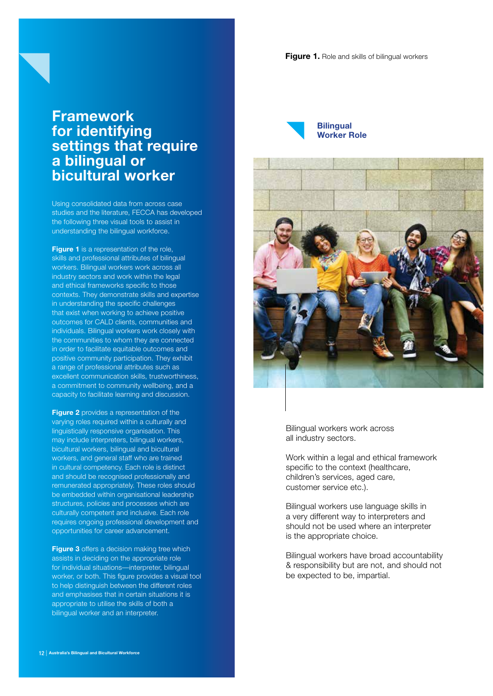Figure 1. Role and skills of bilingual workers

### **Framework for identifying settings that require a bilingual or bicultural worker**

Using consolidated data from across case studies and the literature, FECCA has developed the following three visual tools to assist in understanding the bilingual workforce.

**Figure 1** is a representation of the role, skills and professional attributes of bilingual workers. Bilingual workers work across all industry sectors and work within the legal and ethical frameworks specific to those contexts. They demonstrate skills and expertise in understanding the specific challenges that exist when working to achieve positive outcomes for CALD clients, communities and individuals. Bilingual workers work closely with the communities to whom they are connected in order to facilitate equitable outcomes and positive community participation. They exhibit a range of professional attributes such as excellent communication skills, trustworthiness, a commitment to community wellbeing, and a capacity to facilitate learning and discussion.

**Figure 2** provides a representation of the varying roles required within a culturally and linguistically responsive organisation. This may include interpreters, bilingual workers, bicultural workers, bilingual and bicultural workers, and general staff who are trained in cultural competency. Each role is distinct and should be recognised professionally and remunerated appropriately. These roles should be embedded within organisational leadership structures, policies and processes which are culturally competent and inclusive. Each role requires ongoing professional development and opportunities for career advancement.

**Figure 3** offers a decision making tree which assists in deciding on the appropriate role for individual situations—interpreter, bilingual worker, or both. This figure provides a visual tool to help distinguish between the different roles and emphasises that in certain situations it is appropriate to utilise the skills of both a bilingual worker and an interpreter.





Bilingual workers work across all industry sectors.

Work within a legal and ethical framework specific to the context (healthcare, children's services, aged care, customer service etc.).

Bilingual workers use language skills in a very different way to interpreters and should not be used where an interpreter is the appropriate choice.

Bilingual workers have broad accountability & responsibility but are not, and should not be expected to be, impartial.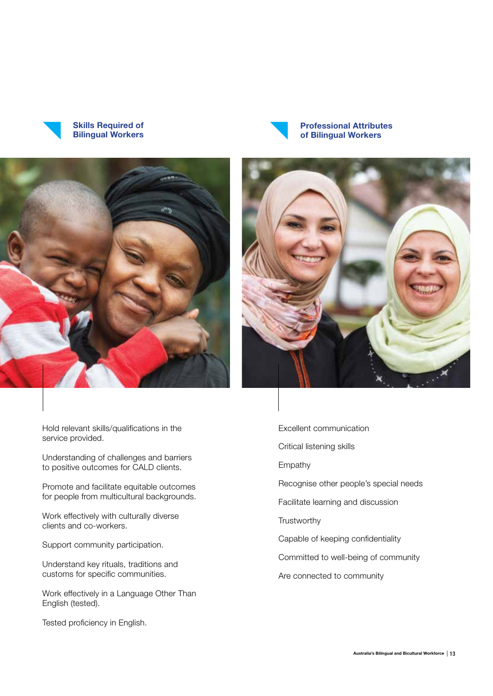

### **Skills Required of Bilingual Workers**







Hold relevant skills/qualifications in the service provided.

Understanding of challenges and barriers to positive outcomes for CALD clients.

Promote and facilitate equitable outcomes for people from multicultural backgrounds.

Work effectively with culturally diverse clients and co-workers.

Support community participation.

Understand key rituals, traditions and customs for specific communities.

Work effectively in a Language Other Than English (tested).

Tested proficiency in English.

- Excellent communication
- Critical listening skills
- Empathy
- Recognise other people's special needs
- Facilitate learning and discussion
- **Trustworthy**
- Capable of keeping confidentiality
- Committed to well-being of community
- Are connected to community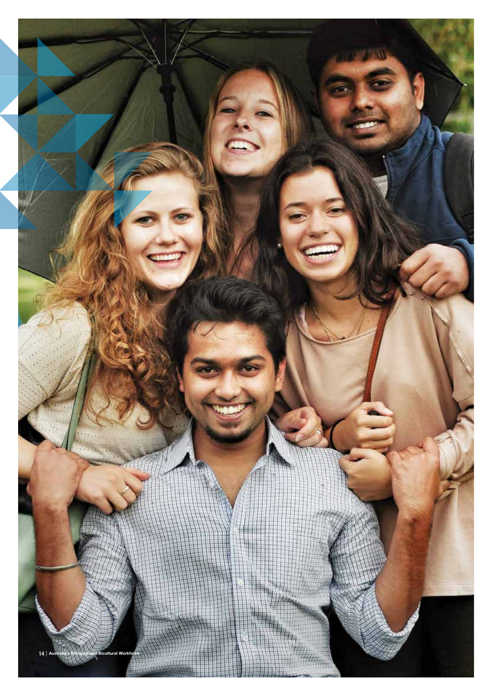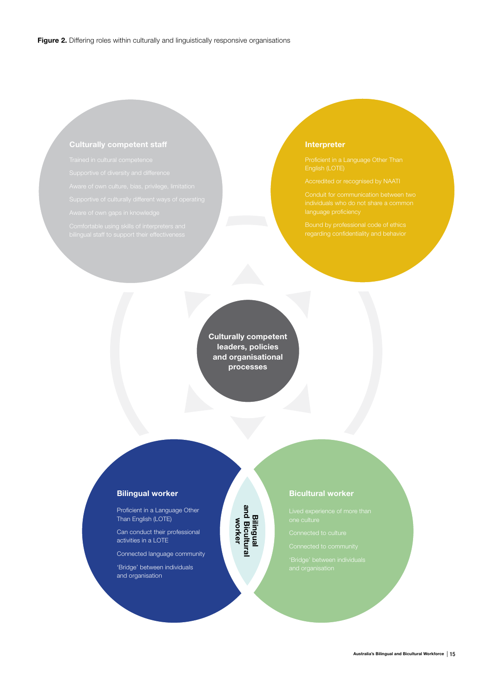#### **Interpreter**

**Culturally competent leaders, policies and organisational processes**

> **Bilingual worker and Bicultural**

#### **Bilingual worker**

Proficient in a Language Other Than English (LOTE)

Can conduct their professional activities in a LOTE

Connected language community

'Bridge' between individuals and organisation

#### **Bicultural worker**

**Australia's Bilingual and Bicultural Workforce** I <sup>15</sup>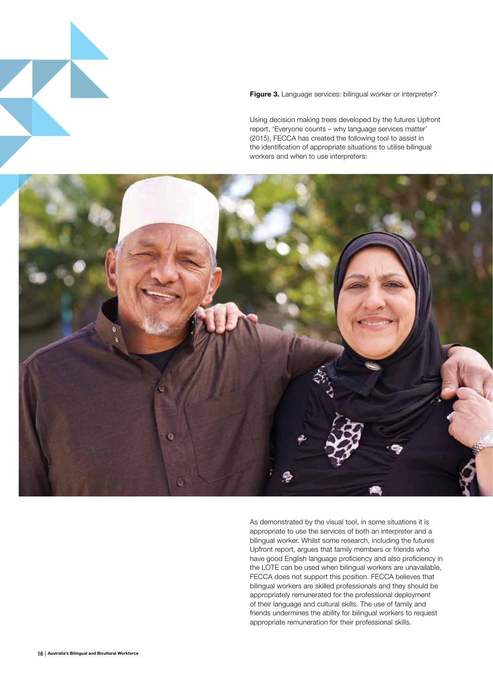**Figure 3.** Language services: bilingual worker or interpreter?

Using decision making trees developed by the futures Upfront report, 'Everyone counts – why language services matter' (2015), FECCA has created the following tool to assist in the identification of appropriate situations to utilise bilingual workers and when to use interpreters:



As demonstrated by the visual tool, in some situations it is appropriate to use the services of both an interpreter and a bilingual worker. Whilst some research, including the futures Upfront report, argues that family members or friends who have good English language proficiency and also proficiency in the LOTE can be used when bilingual workers are unavailable, FECCA does not support this position. FECCA believes that bilingual workers are skilled professionals and they should be appropriately remunerated for the professional deployment of their language and cultural skills. The use of family and friends undermines the ability for bilingual workers to request appropriate remuneration for their professional skills.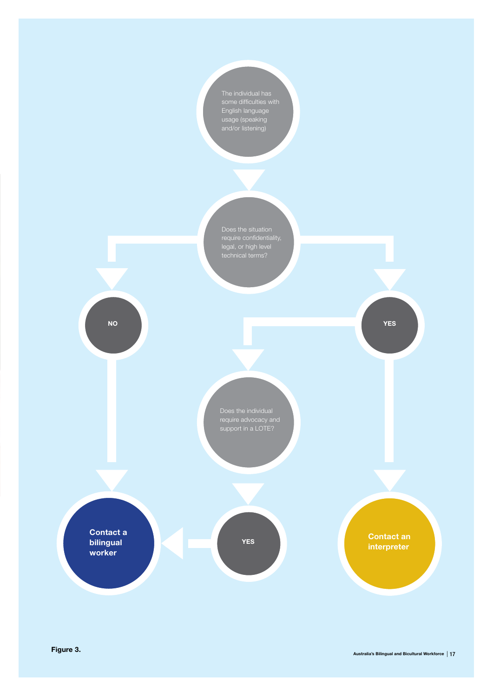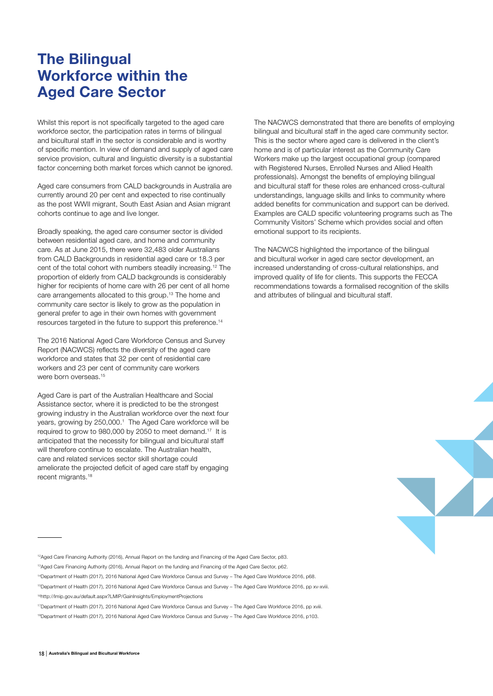### **The Bilingual Workforce within the Aged Care Sector**

Whilst this report is not specifically targeted to the aged care workforce sector, the participation rates in terms of bilingual and bicultural staff in the sector is considerable and is worthy of specific mention. In view of demand and supply of aged care service provision, cultural and linguistic diversity is a substantial factor concerning both market forces which cannot be ignored.

Aged care consumers from CALD backgrounds in Australia are currently around 20 per cent and expected to rise continually as the post WWII migrant, South East Asian and Asian migrant cohorts continue to age and live longer.

Broadly speaking, the aged care consumer sector is divided between residential aged care, and home and community care. As at June 2015, there were 32,483 older Australians from CALD Backgrounds in residential aged care or 18.3 per cent of the total cohort with numbers steadily increasing.12 The proportion of elderly from CALD backgrounds is considerably higher for recipients of home care with 26 per cent of all home care arrangements allocated to this group.13 The home and community care sector is likely to grow as the population in general prefer to age in their own homes with government resources targeted in the future to support this preference.<sup>14</sup>

The 2016 National Aged Care Workforce Census and Survey Report (NACWCS) reflects the diversity of the aged care workforce and states that 32 per cent of residential care workers and 23 per cent of community care workers were born overseas.<sup>15</sup>

Aged Care is part of the Australian Healthcare and Social Assistance sector, where it is predicted to be the strongest growing industry in the Australian workforce over the next four years, growing by 250,000.<sup>1</sup> The Aged Care workforce will be required to grow to 980,000 by 2050 to meet demand.17 It is anticipated that the necessity for bilingual and bicultural staff will therefore continue to escalate. The Australian health, care and related services sector skill shortage could ameliorate the projected deficit of aged care staff by engaging recent migrants.18

The NACWCS demonstrated that there are benefits of employing bilingual and bicultural staff in the aged care community sector. This is the sector where aged care is delivered in the client's home and is of particular interest as the Community Care Workers make up the largest occupational group (compared with Registered Nurses, Enrolled Nurses and Allied Health professionals). Amongst the benefits of employing bilingual and bicultural staff for these roles are enhanced cross-cultural understandings, language skills and links to community where added benefits for communication and support can be derived. Examples are CALD specific volunteering programs such as The Community Visitors' Scheme which provides social and often emotional support to its recipients.

The NACWCS highlighted the importance of the bilingual and bicultural worker in aged care sector development, an increased understanding of cross-cultural relationships, and improved quality of life for clients. This supports the FECCA recommendations towards a formalised recognition of the skills and attributes of bilingual and bicultural staff.



<sup>&</sup>lt;sup>12</sup>Aged Care Financing Authority (2016), Annual Report on the funding and Financing of the Aged Care Sector, p83.

<sup>13</sup>Aged Care Financing Authority (2016), Annual Report on the funding and Financing of the Aged Care Sector, p62.

<sup>14</sup>Department of Health (2017), 2016 National Aged Care Workforce Census and Survey – The Aged Care Workforce 2016, p68.

<sup>15</sup>Department of Health (2017), 2016 National Aged Care Workforce Census and Survey – The Aged Care Workforce 2016, pp xv-xviii. 16http://lmip.gov.au/default.aspx?LMIP/GainInsights/EmploymentProjections

<sup>17</sup>Department of Health (2017), 2016 National Aged Care Workforce Census and Survey – The Aged Care Workforce 2016, pp xviii. 18Department of Health (2017), 2016 National Aged Care Workforce Census and Survey – The Aged Care Workforce 2016, p103.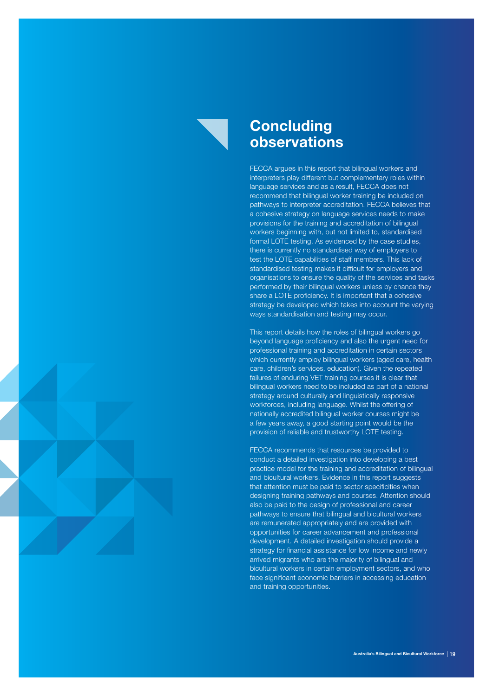## **Concluding observations**

FECCA argues in this report that bilingual workers and interpreters play different but complementary roles within language services and as a result, FECCA does not recommend that bilingual worker training be included on pathways to interpreter accreditation. FECCA believes that a cohesive strategy on language services needs to make provisions for the training and accreditation of bilingual workers beginning with, but not limited to, standardised formal LOTE testing. As evidenced by the case studies, there is currently no standardised way of employers to test the LOTE capabilities of staff members. This lack of standardised testing makes it difficult for employers and organisations to ensure the quality of the services and tasks performed by their bilingual workers unless by chance they share a LOTE proficiency. It is important that a cohesive strategy be developed which takes into account the varying ways standardisation and testing may occur.

This report details how the roles of bilingual workers go beyond language proficiency and also the urgent need for professional training and accreditation in certain sectors which currently employ bilingual workers (aged care, health care, children's services, education). Given the repeated failures of enduring VET training courses it is clear that bilingual workers need to be included as part of a national strategy around culturally and linguistically responsive workforces, including language. Whilst the offering of nationally accredited bilingual worker courses might be a few years away, a good starting point would be the provision of reliable and trustworthy LOTE testing.

FECCA recommends that resources be provided to conduct a detailed investigation into developing a best practice model for the training and accreditation of bilingual and bicultural workers. Evidence in this report suggests that attention must be paid to sector specificities when designing training pathways and courses. Attention should also be paid to the design of professional and career pathways to ensure that bilingual and bicultural workers are remunerated appropriately and are provided with opportunities for career advancement and professional development. A detailed investigation should provide a strategy for financial assistance for low income and newly arrived migrants who are the majority of bilingual and bicultural workers in certain employment sectors, and who face significant economic barriers in accessing education and training opportunities.